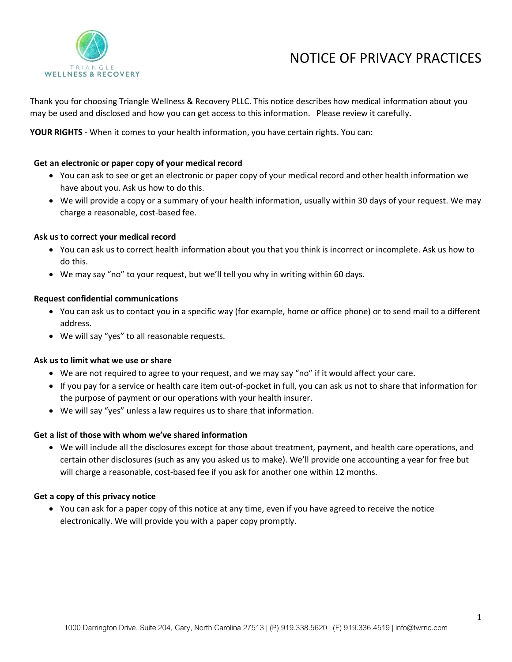

Thank you for choosing Triangle Wellness & Recovery PLLC. This notice describes how medical information about you may be used and disclosed and how you can get access to this information. Please review it carefully.

**YOUR RIGHTS** - When it comes to your health information, you have certain rights. You can:

## **Get an electronic or paper copy of your medical record**

- You can ask to see or get an electronic or paper copy of your medical record and other health information we have about you. Ask us how to do this.
- We will provide a copy or a summary of your health information, usually within 30 days of your request. We may charge a reasonable, cost-based fee.

## **Ask us to correct your medical record**

- You can ask us to correct health information about you that you think is incorrect or incomplete. Ask us how to do this.
- We may say "no" to your request, but we'll tell you why in writing within 60 days.

## **Request confidential communications**

- You can ask us to contact you in a specific way (for example, home or office phone) or to send mail to a different address.
- We will say "yes" to all reasonable requests.

#### **Ask us to limit what we use or share**

- We are not required to agree to your request, and we may say "no" if it would affect your care.
- If you pay for a service or health care item out-of-pocket in full, you can ask us not to share that information for the purpose of payment or our operations with your health insurer.
- We will say "yes" unless a law requires us to share that information.

#### **Get a list of those with whom we've shared information**

• We will include all the disclosures except for those about treatment, payment, and health care operations, and certain other disclosures (such as any you asked us to make). We'll provide one accounting a year for free but will charge a reasonable, cost-based fee if you ask for another one within 12 months.

#### **Get a copy of this privacy notice**

• You can ask for a paper copy of this notice at any time, even if you have agreed to receive the notice electronically. We will provide you with a paper copy promptly.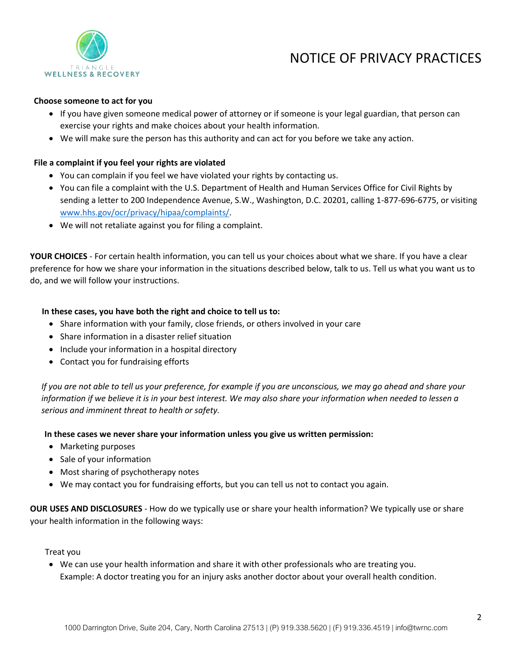

## **Choose someone to act for you**

- If you have given someone medical power of attorney or if someone is your legal guardian, that person can exercise your rights and make choices about your health information.
- We will make sure the person has this authority and can act for you before we take any action.

## **File a complaint if you feel your rights are violated**

- You can complain if you feel we have violated your rights by contacting us.
- You can file a complaint with the U.S. Department of Health and Human Services Office for Civil Rights by sending a letter to 200 Independence Avenue, S.W., Washington, D.C. 20201, calling 1-877-696-6775, or visiting www.hhs.gov/ocr/privacy/hipaa/complaints/.
- We will not retaliate against you for filing a complaint.

**YOUR CHOICES** - For certain health information, you can tell us your choices about what we share. If you have a clear preference for how we share your information in the situations described below, talk to us. Tell us what you want us to do, and we will follow your instructions.

## **In these cases, you have both the right and choice to tell us to:**

- Share information with your family, close friends, or others involved in your care
- Share information in a disaster relief situation
- Include your information in a hospital directory
- Contact you for fundraising efforts

*If you are not able to tell us your preference, for example if you are unconscious, we may go ahead and share your information if we believe it is in your best interest. We may also share your information when needed to lessen a serious and imminent threat to health or safety.* 

#### **In these cases we never share your information unless you give us written permission:**

- Marketing purposes
- Sale of your information
- Most sharing of psychotherapy notes
- We may contact you for fundraising efforts, but you can tell us not to contact you again.

**OUR USES AND DISCLOSURES** - How do we typically use or share your health information? We typically use or share your health information in the following ways:

Treat you

• We can use your health information and share it with other professionals who are treating you. Example: A doctor treating you for an injury asks another doctor about your overall health condition.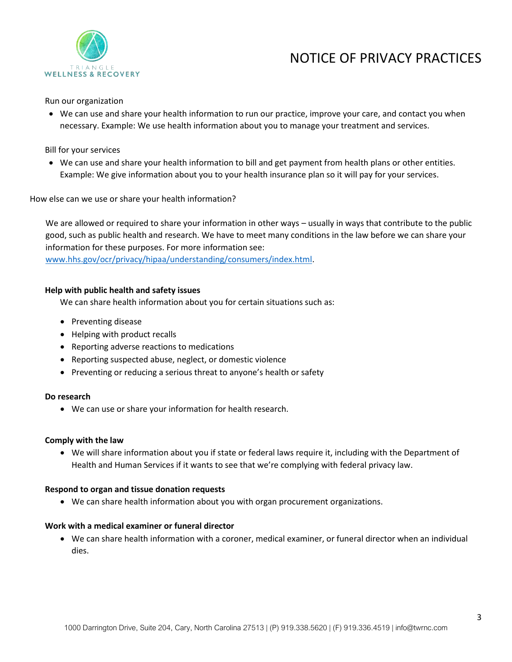

## Run our organization

• We can use and share your health information to run our practice, improve your care, and contact you when necessary. Example: We use health information about you to manage your treatment and services.

## Bill for your services

• We can use and share your health information to bill and get payment from health plans or other entities. Example: We give information about you to your health insurance plan so it will pay for your services.

## How else can we use or share your health information?

We are allowed or required to share your information in other ways – usually in ways that contribute to the public good, such as public health and research. We have to meet many conditions in the law before we can share your information for these purposes. For more information see:

www.hhs.gov/ocr/privacy/hipaa/understanding/consumers/index.html.

## **Help with public health and safety issues**

We can share health information about you for certain situations such as:

- Preventing disease
- Helping with product recalls
- Reporting adverse reactions to medications
- Reporting suspected abuse, neglect, or domestic violence
- Preventing or reducing a serious threat to anyone's health or safety

#### **Do research**

• We can use or share your information for health research.

#### **Comply with the law**

• We will share information about you if state or federal laws require it, including with the Department of Health and Human Services if it wants to see that we're complying with federal privacy law.

#### **Respond to organ and tissue donation requests**

• We can share health information about you with organ procurement organizations.

## **Work with a medical examiner or funeral director**

• We can share health information with a coroner, medical examiner, or funeral director when an individual dies.